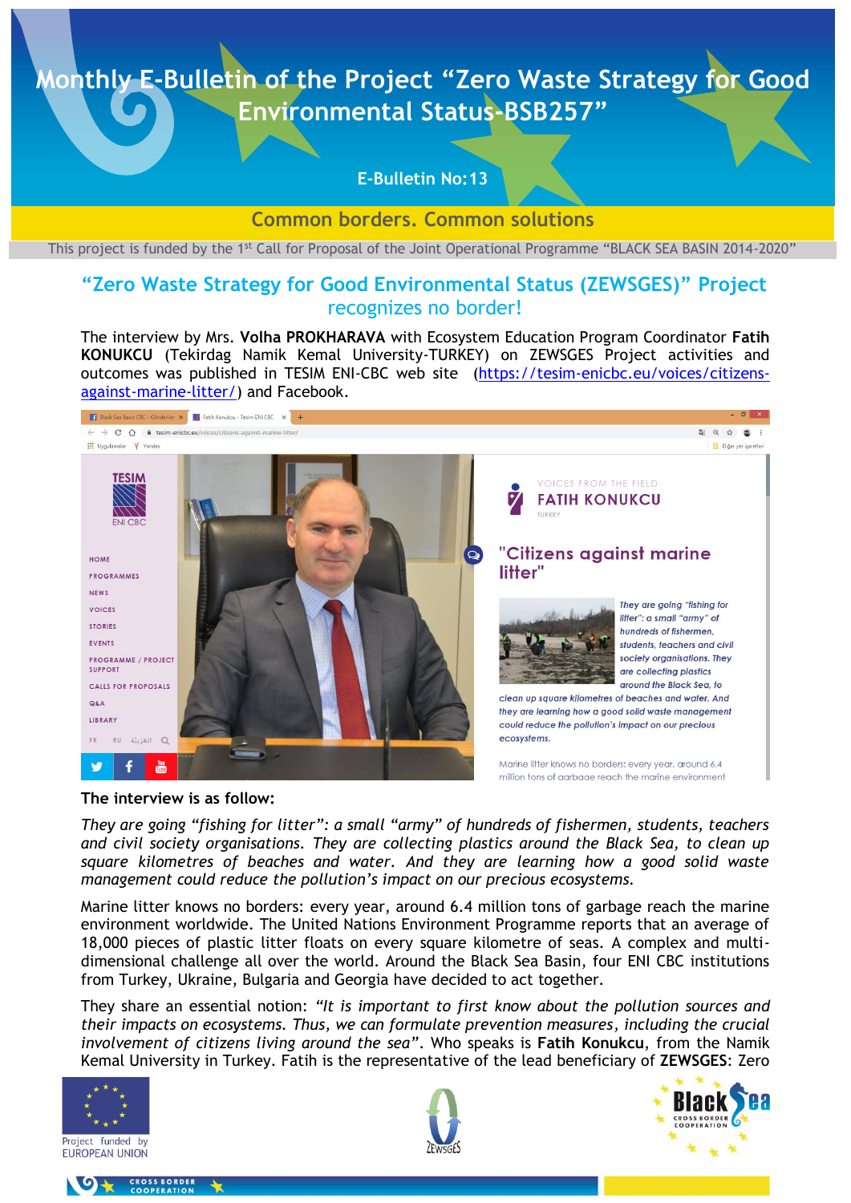### **E-Bulletin No:13**

**Common borders. Common solutions**

This project is funded by the 1<sup>st</sup> Call for Proposal of the Joint Operational Programme "BLACK SEA BASIN 2014-2020"

## **"Zero Waste Strategy for Good Environmental Status (ZEWSGES)" Project** recognizes no border!

The interview by Mrs. **Volha PROKHARAVA** with Ecosystem Education Program Coordinator **Fatih KONUKCU** (Tekirdag Namik Kemal University-TURKEY) on ZEWSGES Project activities and outcomes was published in TESIM ENI-CBC web site [\(https://tesim-enicbc.eu/voices/citizens](https://tesim-enicbc.eu/voices/citizens-against-marine-litter/)[against-marine-litter/\)](https://tesim-enicbc.eu/voices/citizens-against-marine-litter/) and Facebook.



**The interview is as follow:** 

*They are going "fishing for litter": a small "army" of hundreds of fishermen, students, teachers and civil society organisations. They are collecting plastics around the Black Sea, to clean up square kilometres of beaches and water. And they are learning how a good solid waste management could reduce the pollution's impact on our precious ecosystems.*

Marine litter knows no borders: every year, around 6.4 million tons of garbage reach the marine environment worldwide. The United Nations Environment Programme reports that an average of 18,000 pieces of plastic litter floats on every square kilometre of seas. A complex and multidimensional challenge all over the world. Around the Black Sea Basin, four ENI CBC institutions from Turkey, Ukraine, Bulgaria and Georgia have decided to act together.

They share an essential notion: *"It is important to first know about the pollution sources and their impacts on ecosystems. Thus, we can formulate prevention measures, including the crucial involvement of citizens living around the sea"*. Who speaks is **Fatih Konukcu**, from the Namik Kemal University in Turkey. Fatih is the representative of the lead beneficiary of **ZEWSGES**: Zero







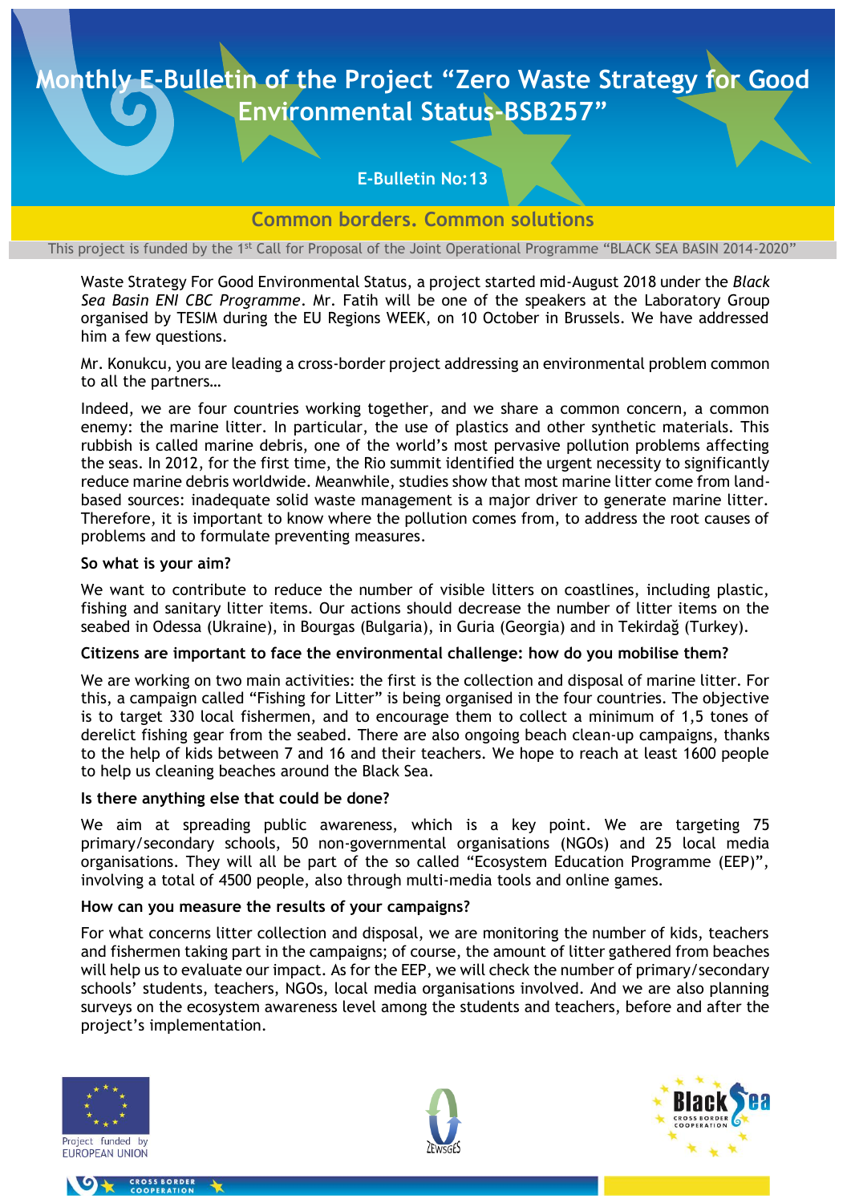## **E-Bulletin No:13**

**Common borders. Common solutions**

This project is funded by the 1<sup>st</sup> Call for Proposal of the Joint Operational Programme "BLACK SEA BASIN 2014-2020"

Waste Strategy For Good Environmental Status, a project started mid-August 2018 under the *Black Sea Basin ENI CBC Programme*. Mr. Fatih will be one of the speakers at the [Laboratory Group](https://tesim-enicbc.eu/news/register-for-eni-cbc-participatory-lab-at-euregionsweek/) organised by TESIM during the EU Regions WEEK, on 10 October in Brussels. We have addressed him a few questions.

Mr. Konukcu, you are leading a cross-border project addressing an environmental problem common to all the partners…

Indeed, we are four countries working together, and we share a common concern, a common enemy: the marine litter. In particular, the use of plastics and other synthetic materials. This rubbish is called marine debris, one of the world's most pervasive pollution problems affecting the seas. In 2012, for the first time, the Rio summit identified the urgent necessity to significantly reduce marine debris worldwide. Meanwhile, studies show that most marine litter come from landbased sources: inadequate solid waste management is a major driver to generate marine litter. Therefore, it is important to know where the pollution comes from, to address the root causes of problems and to formulate preventing measures.

#### **So what is your aim?**

We want to contribute to reduce the number of visible litters on coastlines, including plastic, fishing and sanitary litter items. Our actions should decrease the number of litter items on the seabed in Odessa (Ukraine), in Bourgas (Bulgaria), in Guria (Georgia) and in Tekirdağ (Turkey).

#### **Citizens are important to face the environmental challenge: how do you mobilise them?**

We are working on two main activities: the first is the collection and disposal of marine litter. For this, a campaign called "Fishing for Litter" is being organised in the four countries. The objective is to target 330 local fishermen, and to encourage them to collect a minimum of 1,5 tones of derelict fishing gear from the seabed. There are also ongoing beach clean-up campaigns, thanks to the help of kids between 7 and 16 and their teachers. We hope to reach at least 1600 people to help us cleaning beaches around the Black Sea.

#### **Is there anything else that could be done?**

We aim at spreading public awareness, which is a key point. We are targeting 75 primary/secondary schools, 50 non-governmental organisations (NGOs) and 25 local media organisations. They will all be part of the so called "Ecosystem Education Programme (EEP)", involving a total of 4500 people, also through multi-media tools and online games.

#### **How can you measure the results of your campaigns?**

For what concerns litter collection and disposal, we are monitoring the number of kids, teachers and fishermen taking part in the campaigns; of course, the amount of litter gathered from beaches will help us to evaluate our impact. As for the EEP, we will check the number of primary/secondary schools' students, teachers, NGOs, local media organisations involved. And we are also planning surveys on the ecosystem awareness level among the students and teachers, before and after the project's implementation.





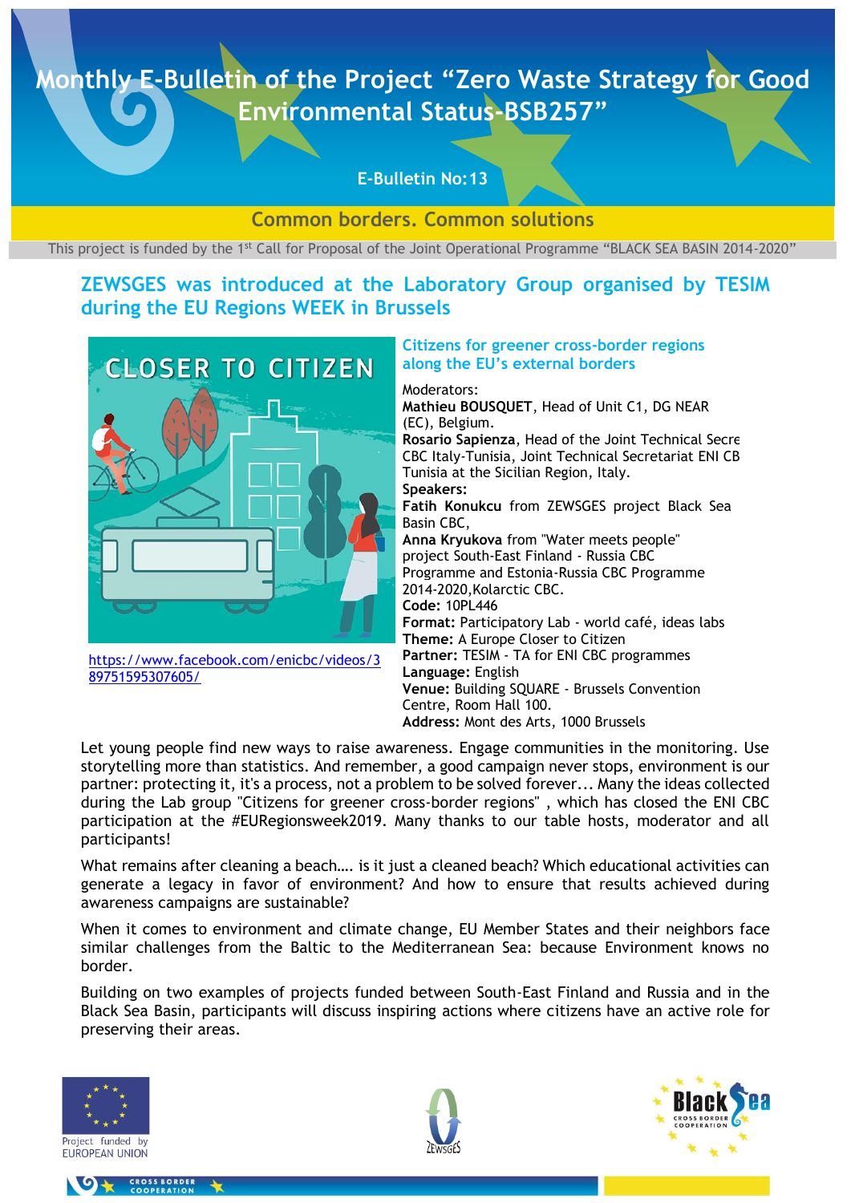### **E-Bulletin No:13**

### **Common borders. Common solutions**

This project is funded by the 1<sup>st</sup> Call for Proposal of the Joint Operational Programme "BLACK SEA BASIN 2014-2020"

# **ZEWSGES was introduced at the [Laboratory Group](https://tesim-enicbc.eu/news/register-for-eni-cbc-participatory-lab-at-euregionsweek/) organised by TESIM during the EU Regions WEEK in Brussels**



[https://www.facebook.com/enicbc/videos/3](https://www.facebook.com/enicbc/videos/389751595307605/) [89751595307605/](https://www.facebook.com/enicbc/videos/389751595307605/)

#### **Citizens for greener cross-border regions along the EU's external borders**

Moderators: **Mathieu BOUSQUET**, Head of Unit C1, DG NEAR (EC), Belgium. Rosario Sapienza, Head of the Joint Technical Secre CBC Italy-Tunisia, Joint Technical Secretariat ENI CB Tunisia at the Sicilian Region, Italy. **Speakers: Fatih Konukcu** from ZEWSGES project [Black Sea](https://www.facebook.com/BlackSeaBasin/?eid=ARChyZUPsXdI81ODmdB30hKdOYyIWc-B1udEIzfICmHj2Cxrhur45_LhHdaiw9zU0qo6h1hyak2bvzQF&fref=tag)  [Basin CBC,](https://www.facebook.com/BlackSeaBasin/?eid=ARChyZUPsXdI81ODmdB30hKdOYyIWc-B1udEIzfICmHj2Cxrhur45_LhHdaiw9zU0qo6h1hyak2bvzQF&fref=tag) **Anna Kryukova** from "Water meets people" project [South-East Finland -](https://www.facebook.com/cbcprogramme/?eid=ARA7fxbdQf4pISqmZTnQUCy0bNwaDCfFuVoOKyomS-HpxKZ1Z2Jte5RHkg1E8Jpj81qDbFKcDGzlSr_G&fref=tag) Russia CBC [Programme](https://www.facebook.com/cbcprogramme/?eid=ARA7fxbdQf4pISqmZTnQUCy0bNwaDCfFuVoOKyomS-HpxKZ1Z2Jte5RHkg1E8Jpj81qDbFKcDGzlSr_G&fref=tag) and [Estonia-Russia CBC Programme](https://www.facebook.com/estoniarussia/?eid=ARDa58rsTULDTJ04imvKbU3Qk0Un4Qo-0h4RGDFuX5rAiibISP8lddk-Cy_qx60BJZJCXyGc0L_mGBnr&fref=tag)  [2014-2020,](https://www.facebook.com/estoniarussia/?eid=ARDa58rsTULDTJ04imvKbU3Qk0Un4Qo-0h4RGDFuX5rAiibISP8lddk-Cy_qx60BJZJCXyGc0L_mGBnr&fref=tag)[Kolarctic CBC.](https://www.facebook.com/KolarcticCBC/?eid=ARBfCpaqga84rKSG9Hvlzl97YZZ0FFNSk3GJbG0dUXtV5T19-5uw7jNXvgT-3kzOJhYDaxvjLxPQBBws&fref=tag) **Code:** 10PL446 **Format:** Participatory Lab - world café, ideas labs **Theme:** A Europe Closer to Citizen **Partner:** TESIM - TA for ENI CBC programmes **Language:** English **Venue:** Building SQUARE - Brussels Convention Centre, Room Hall 100. **Address:** Mont des Arts, 1000 Brussels

Let young people find new ways to raise awareness. Engage communities in the monitoring. Use storytelling more than statistics. And remember, a good campaign never stops, environment is our partner: protecting it, it's a process, not a problem to be solved forever... Many the ideas collected during the Lab group "Citizens for greener cross-border regions" , which has closed the ENI CBC participation at the #EURegionsweek2019. Many thanks to our table hosts, moderator and all participants!

What remains after cleaning a beach…. is it just a cleaned beach? Which educational activities can generate a legacy in favor of environment? And how to ensure that results achieved during awareness campaigns are sustainable?

When it comes to environment and climate change, EU Member States and their neighbors face similar challenges from the Baltic to the Mediterranean Sea: because Environment knows no border.

Building on two examples of projects funded between South-East Finland and Russia and in the Black Sea Basin, participants will discuss inspiring actions where citizens have an active role for preserving their areas.



CROSS BORDER